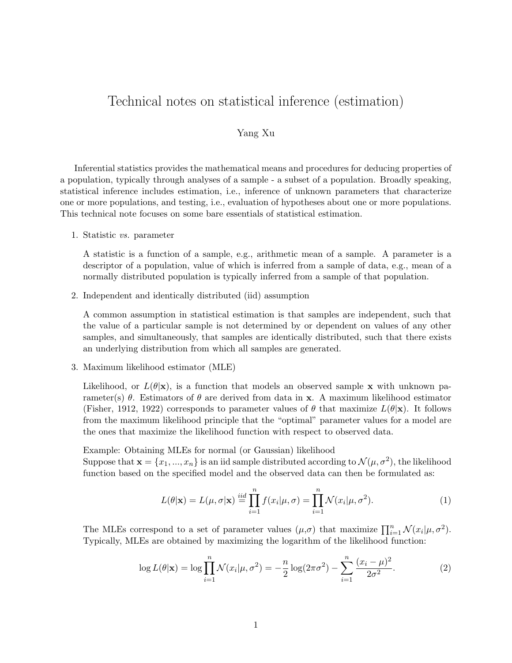# Technical notes on statistical inference (estimation)

## Yang Xu

Inferential statistics provides the mathematical means and procedures for deducing properties of a population, typically through analyses of a sample - a subset of a population. Broadly speaking, statistical inference includes estimation, i.e., inference of unknown parameters that characterize one or more populations, and testing, i.e., evaluation of hypotheses about one or more populations. This technical note focuses on some bare essentials of statistical estimation.

1. Statistic vs. parameter

A statistic is a function of a sample, e.g., arithmetic mean of a sample. A parameter is a descriptor of a population, value of which is inferred from a sample of data, e.g., mean of a normally distributed population is typically inferred from a sample of that population.

2. Independent and identically distributed (iid) assumption

A common assumption in statistical estimation is that samples are independent, such that the value of a particular sample is not determined by or dependent on values of any other samples, and simultaneously, that samples are identically distributed, such that there exists an underlying distribution from which all samples are generated.

3. Maximum likelihood estimator (MLE)

Likelihood, or  $L(\theta|\mathbf{x})$ , is a function that models an observed sample x with unknown parameter(s)  $\theta$ . Estimators of  $\theta$  are derived from data in x. A maximum likelihood estimator (Fisher, 1912, 1922) corresponds to parameter values of  $\theta$  that maximize  $L(\theta|\mathbf{x})$ . It follows from the maximum likelihood principle that the "optimal" parameter values for a model are the ones that maximize the likelihood function with respect to observed data.

Example: Obtaining MLEs for normal (or Gaussian) likelihood Suppose that  $\mathbf{x} = \{x_1, ..., x_n\}$  is an iid sample distributed according to  $\mathcal{N}(\mu, \sigma^2)$ , the likelihood function based on the specified model and the observed data can then be formulated as:

$$
L(\theta|\mathbf{x}) = L(\mu, \sigma|\mathbf{x}) \stackrel{iid}{=} \prod_{i=1}^{n} f(x_i|\mu, \sigma) = \prod_{i=1}^{n} \mathcal{N}(x_i|\mu, \sigma^2).
$$
 (1)

The MLEs correspond to a set of parameter values  $(\mu, \sigma)$  that maximize  $\prod_{i=1}^{n} \mathcal{N}(x_i | \mu, \sigma^2)$ . Typically, MLEs are obtained by maximizing the logarithm of the likelihood function:

$$
\log L(\theta|\mathbf{x}) = \log \prod_{i=1}^{n} \mathcal{N}(x_i|\mu, \sigma^2) = -\frac{n}{2} \log(2\pi\sigma^2) - \sum_{i=1}^{n} \frac{(x_i - \mu)^2}{2\sigma^2}.
$$
 (2)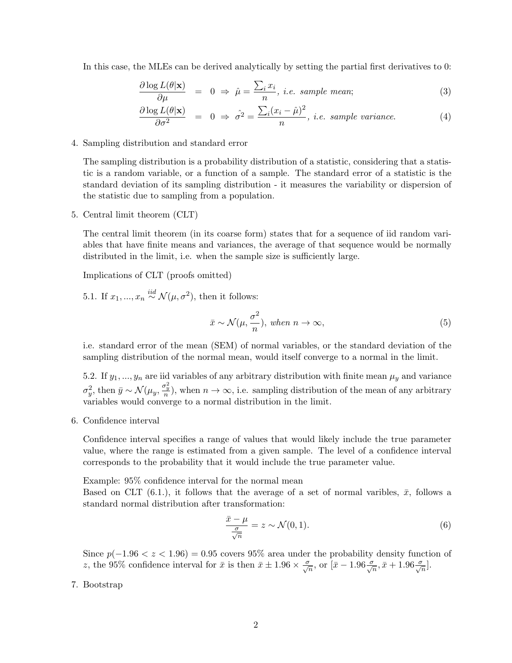In this case, the MLEs can be derived analytically by setting the partial first derivatives to 0:

$$
\frac{\partial \log L(\theta|\mathbf{x})}{\partial \mu} = 0 \Rightarrow \hat{\mu} = \frac{\sum_{i} x_i}{n}, i.e. \text{ sample mean}; \tag{3}
$$

$$
\frac{\partial \log L(\theta|\mathbf{x})}{\partial \sigma^2} = 0 \Rightarrow \hat{\sigma^2} = \frac{\sum_i (x_i - \hat{\mu})^2}{n}, i.e. \text{ sample variance.}
$$
\n(4)

4. Sampling distribution and standard error

The sampling distribution is a probability distribution of a statistic, considering that a statistic is a random variable, or a function of a sample. The standard error of a statistic is the standard deviation of its sampling distribution - it measures the variability or dispersion of the statistic due to sampling from a population.

5. Central limit theorem (CLT)

The central limit theorem (in its coarse form) states that for a sequence of iid random variables that have finite means and variances, the average of that sequence would be normally distributed in the limit, i.e. when the sample size is sufficiently large.

Implications of CLT (proofs omitted)

5.1. If  $x_1, ..., x_n \stackrel{iid}{\sim} \mathcal{N}(\mu, \sigma^2)$ , then it follows:

$$
\bar{x} \sim \mathcal{N}(\mu, \frac{\sigma^2}{n}), \text{ when } n \to \infty,
$$
\n<sup>(5)</sup>

i.e. standard error of the mean (SEM) of normal variables, or the standard deviation of the sampling distribution of the normal mean, would itself converge to a normal in the limit.

5.2. If  $y_1, ..., y_n$  are iid variables of any arbitrary distribution with finite mean  $\mu_y$  and variance  $\sigma_y^2$ , then  $\bar{y} \sim \mathcal{N}(\mu_y, \frac{\sigma_y^2}{n})$ , when  $n \to \infty$ , i.e. sampling distribution of the mean of any arbitrary variables would converge to a normal distribution in the limit.

6. Confidence interval

Confidence interval specifies a range of values that would likely include the true parameter value, where the range is estimated from a given sample. The level of a confidence interval corresponds to the probability that it would include the true parameter value.

Example: 95% confidence interval for the normal mean

Based on CLT (6.1.), it follows that the average of a set of normal varibles,  $\bar{x}$ , follows a standard normal distribution after transformation:

$$
\frac{\bar{x} - \mu}{\frac{\sigma}{\sqrt{n}}} = z \sim \mathcal{N}(0, 1). \tag{6}
$$

Since  $p(-1.96 < z < 1.96) = 0.95$  covers 95% area under the probability density function of z, the 95% confidence interval for  $\bar{x}$  is then  $\bar{x} \pm 1.96 \times \frac{\sigma}{\sqrt{n}}$ , or  $[\bar{x} - 1.96 \frac{\sigma}{\sqrt{n}}, \bar{x} + 1.96 \frac{\sigma}{\sqrt{n}}]$ .

#### 7. Bootstrap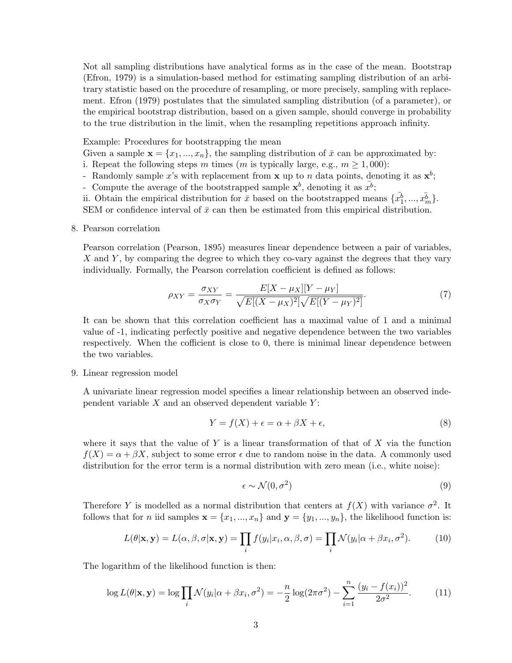Not all sampling distributions have analytical forms as in the case of the mean. Bootstrap (Efron, 1979) is a simulation-based method for estimating sampling distribution of an arbitrary statistic based on the procedure of resampling, or more precisely, sampling with replacement. Efron (1979) postulates that the simulated sampling distribution (of a parameter), or the empirical bootstrap distribution, based on a given sample, should converge in probability to the true distribution in the limit, when the resampling repetitions approach infinity.

Example: Procedures for bootstrapping the mean

Given a sample  $\mathbf{x} = \{x_1, ..., x_n\}$ , the sampling distribution of  $\bar{x}$  can be approximated by: i. Repeat the following steps m times (m is typically large, e.g.,  $m \ge 1,000$ ):

- Randomly sample x's with replacement from **x** up to n data points, denoting it as  $\mathbf{x}^{b}$ ;
- Compute the average of the bootstrapped sample  $\mathbf{x}^b$ , denoting it as  $\bar{x}^b$ ;
- ii. Obtain the empirical distribution for  $\bar{x}$  based on the bootstrapped means  $\{\bar{x_1^b}, ..., \bar{x_m^b}\}$ .

SEM or confidence interval of  $\bar{x}$  can then be estimated from this empirical distribution.

8. Pearson correlation

Pearson correlation (Pearson, 1895) measures linear dependence between a pair of variables, X and Y, by comparing the degree to which they co-vary against the degrees that they vary individually. Formally, the Pearson correlation coefficient is defined as follows:

$$
\rho_{XY} = \frac{\sigma_{XY}}{\sigma_X \sigma_Y} = \frac{E[X - \mu_X][Y - \mu_Y]}{\sqrt{E[(X - \mu_X)^2]}\sqrt{E[(Y - \mu_Y)^2]}}.
$$
(7)

It can be shown that this correlation coefficient has a maximal value of 1 and a minimal value of -1, indicating perfectly positive and negative dependence between the two variables respectively. When the cofficient is close to 0, there is minimal linear dependence between the two variables.

#### 9. Linear regression model

A univariate linear regression model specifies a linear relationship between an observed independent variable  $X$  and an observed dependent variable  $Y$ :

$$
Y = f(X) + \epsilon = \alpha + \beta X + \epsilon,\tag{8}
$$

where it says that the value of Y is a linear transformation of that of X via the function  $f(X) = \alpha + \beta X$ , subject to some error  $\epsilon$  due to random noise in the data. A commonly used distribution for the error term is a normal distribution with zero mean (i.e., white noise):

$$
\epsilon \sim \mathcal{N}(0, \sigma^2) \tag{9}
$$

Therefore Y is modelled as a normal distribution that centers at  $f(X)$  with variance  $\sigma^2$ . It follows that for *n* iid samples  $\mathbf{x} = \{x_1, ..., x_n\}$  and  $\mathbf{y} = \{y_1, ..., y_n\}$ , the likelihood function is:

$$
L(\theta|\mathbf{x}, \mathbf{y}) = L(\alpha, \beta, \sigma|\mathbf{x}, \mathbf{y}) = \prod_{i} f(y_i|x_i, \alpha, \beta, \sigma) = \prod_{i} \mathcal{N}(y_i|\alpha + \beta x_i, \sigma^2).
$$
 (10)

The logarithm of the likelihood function is then:

$$
\log L(\theta|\mathbf{x}, \mathbf{y}) = \log \prod_{i} \mathcal{N}(y_i|\alpha + \beta x_i, \sigma^2) = -\frac{n}{2} \log(2\pi\sigma^2) - \sum_{i=1}^{n} \frac{(y_i - f(x_i))^2}{2\sigma^2}.
$$
 (11)